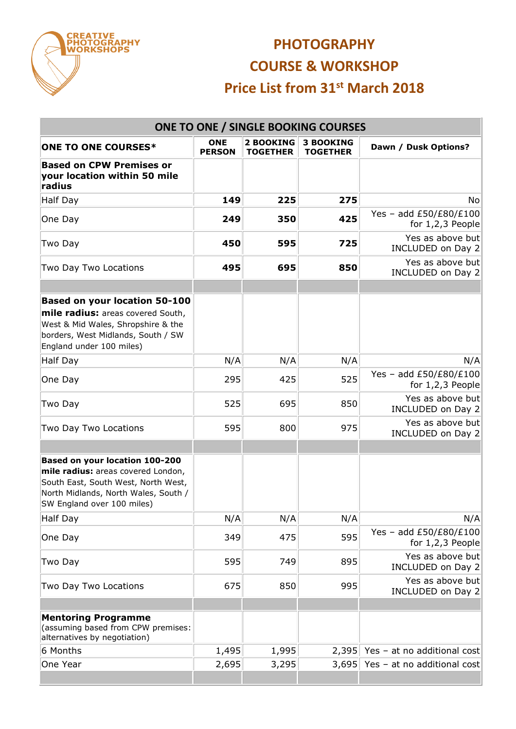

## **PHOTOGRAPHY COURSE & WORKSHOP Price List from 31st March 2018**

| <b>ONE TO ONE / SINGLE BOOKING COURSES</b>                                                                                                                                        |                             |                                     |                                     |                                              |  |  |  |  |  |
|-----------------------------------------------------------------------------------------------------------------------------------------------------------------------------------|-----------------------------|-------------------------------------|-------------------------------------|----------------------------------------------|--|--|--|--|--|
| <b>ONE TO ONE COURSES*</b>                                                                                                                                                        | <b>ONE</b><br><b>PERSON</b> | <b>2 BOOKING</b><br><b>TOGETHER</b> | <b>3 BOOKING</b><br><b>TOGETHER</b> | Dawn / Dusk Options?                         |  |  |  |  |  |
| <b>Based on CPW Premises or</b><br>your location within 50 mile<br>radius                                                                                                         |                             |                                     |                                     |                                              |  |  |  |  |  |
| Half Day                                                                                                                                                                          | 149                         | 225                                 | 275                                 | No                                           |  |  |  |  |  |
| One Day                                                                                                                                                                           | 249                         | 350                                 | 425                                 | Yes - add £50/£80/£100<br>for $1,2,3$ People |  |  |  |  |  |
| Two Day                                                                                                                                                                           | 450                         | 595                                 | 725                                 | Yes as above but<br>INCLUDED on Day 2        |  |  |  |  |  |
| Two Day Two Locations                                                                                                                                                             | 495                         | 695                                 | 850                                 | Yes as above but<br>INCLUDED on Day 2        |  |  |  |  |  |
|                                                                                                                                                                                   |                             |                                     |                                     |                                              |  |  |  |  |  |
| <b>Based on your location 50-100</b><br>mile radius: areas covered South,<br>West & Mid Wales, Shropshire & the<br>borders, West Midlands, South / SW<br>England under 100 miles) |                             |                                     |                                     |                                              |  |  |  |  |  |
| Half Day                                                                                                                                                                          | N/A                         | N/A                                 | N/A                                 | N/A                                          |  |  |  |  |  |
| One Day                                                                                                                                                                           | 295                         | 425                                 | 525                                 | Yes - add £50/£80/£100<br>for 1,2,3 People   |  |  |  |  |  |
| Two Day                                                                                                                                                                           | 525                         | 695                                 | 850                                 | Yes as above but<br>INCLUDED on Day 2        |  |  |  |  |  |
| Two Day Two Locations                                                                                                                                                             | 595                         | 800                                 | 975                                 | Yes as above but<br>INCLUDED on Day 2        |  |  |  |  |  |
| Based on your location 100-200<br>mile radius: areas covered London,<br>South East, South West, North West,<br>North Midlands, North Wales, South /<br>SW England over 100 miles) |                             |                                     |                                     |                                              |  |  |  |  |  |
| Half Day                                                                                                                                                                          | N/A                         | N/A                                 | N/A                                 | N/A                                          |  |  |  |  |  |
| One Day                                                                                                                                                                           | 349                         | 475                                 | 595                                 | Yes - add £50/£80/£100<br>for $1,2,3$ People |  |  |  |  |  |
| Two Day                                                                                                                                                                           | 595                         | 749                                 | 895                                 | Yes as above but<br>INCLUDED on Day 2        |  |  |  |  |  |
| Two Day Two Locations                                                                                                                                                             | 675                         | 850                                 | 995                                 | Yes as above but<br>INCLUDED on Day 2        |  |  |  |  |  |
|                                                                                                                                                                                   |                             |                                     |                                     |                                              |  |  |  |  |  |
| <b>Mentoring Programme</b><br>(assuming based from CPW premises:<br>alternatives by negotiation)                                                                                  |                             |                                     |                                     |                                              |  |  |  |  |  |
| 6 Months                                                                                                                                                                          | 1,495                       | 1,995                               | 2,395                               | Yes - at no additional cost                  |  |  |  |  |  |
| One Year                                                                                                                                                                          | 2,695                       | 3,295                               | 3,695                               | Yes - at no additional cost                  |  |  |  |  |  |